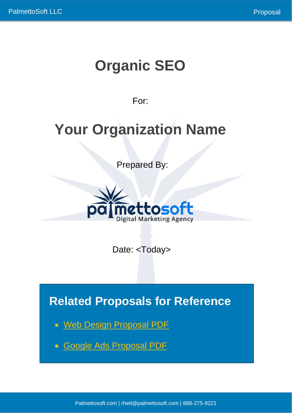# **Organic SEO**

# For:

# **Your Organization Name**

Prepared By:



Date: <Today>

**Related Proposals for Reference**

- [Web Design Proposal PDF](https://www.palmettosoft.com/wp-content/uploads/2021/07/Web-Design-Proposal.pdf)
- [Google Ads Proposal PDF](https://www.palmettosoft.com/wp-content/uploads/2021/07/Google-Ads-Proposal.pdf)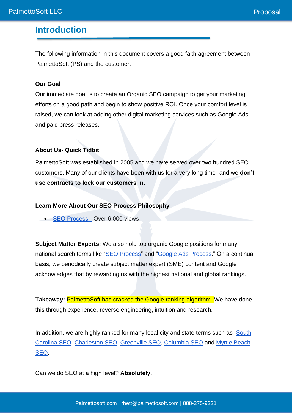### **Introduction**

The following information in this document covers a good faith agreement between PalmettoSoft (PS) and the customer.

#### **Our Goal**

Our immediate goal is to create an Organic SEO campaign to get your marketing efforts on a good path and begin to show positive ROI. Once your comfort level is raised, we can look at adding other digital marketing services such as Google Ads and paid press releases.

#### **About Us- Quick Tidbit**

PalmettoSoft was established in 2005 and we have served over two hundred SEO customers. Many of our clients have been with us for a very long time- and we **don't use contracts to lock our customers in.**

#### **Learn More About Our SEO Process Philosophy**

[SEO Process](https://www.palmettosoft.com/seo-process-steps/) - Over 6,000 views

**Subject Matter Experts:** We also hold top organic Google positions for many national search terms like ["SEO Process"](https://www.google.com/search?q=SEO+Process&oq=SEO+Process&aqs=chrome..69i57j69i61l3.5831j0j1&sourceid=chrome&ie=UTF-8) and ["Google Ads Process.](https://www.google.com/search?q=google+ads+process&oq=google+ads+process&aqs=chrome..69i57j69i64j69i60j69i61.9486j0j1&sourceid=chrome&ie=UTF-8)" On a continual basis, we periodically create subject matter expert (SME) content and Google acknowledges that by rewarding us with the highest national and global rankings.

**Takeaway: PalmettoSoft has cracked the Google ranking algorithm. We have done** this through experience, reverse engineering, intuition and research.

In addition, we are highly ranked for many local city and state terms such as South [Carolina SEO,](https://www.google.com/search?q=south+carolina+seo&rlz=1C1VDKB_enUS960US960&oq=south+carolina+seo&aqs=chrome..69i57j0i22i30l2j69i59.7427j0j9&sourceid=chrome&ie=UTF-8) [Charleston SEO,](https://www.google.com/search?q=charleston+seo&rlz=1C1VDKB_enUS960US960&oq=charleston+seo&aqs=chrome..69i57j0i22i30i457j0i22i30l3j0i10i22i30.8377j0j4&sourceid=chrome&ie=UTF-8) [Greenville SEO,](https://www.google.com/search?q=greenville+seo&rlz=1C1VDKB_enUS960US960&oq=greenville+seo&aqs=chrome.0.69i59.2955j0j9&sourceid=chrome&ie=UTF-8) [Columbia SEO](https://www.google.com/search?q=columbia+seo&rlz=1C1VDKB_enUS960US960&oq=columbia+seo&aqs=chrome.0.69i59j0i22i30l2j0i22i30i457j0i22i30l6.2700j0j9&sourceid=chrome&ie=UTF-8) and [Myrtle Beach](https://www.google.com/search?q=myrtle+beach+seo&rlz=1C1VDKB_enUS960US960&oq=myrtle+beach+seo&aqs=chrome..69i57j69i59.6391j0j9&sourceid=chrome&ie=UTF-8)  [SEO.](https://www.google.com/search?q=myrtle+beach+seo&rlz=1C1VDKB_enUS960US960&oq=myrtle+beach+seo&aqs=chrome..69i57j69i59.6391j0j9&sourceid=chrome&ie=UTF-8)

Can we do SEO at a high level? **Absolutely.**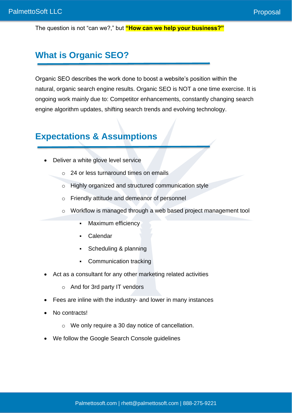The question is not "can we?," but **"How can we help your business?"**

## **What is Organic SEO?**

Organic SEO describes the work done to boost a website's position within the natural, organic search engine results. Organic SEO is NOT a one time exercise. It is ongoing work mainly due to: Competitor enhancements, constantly changing search engine algorithm updates, shifting search trends and evolving technology.

### **Expectations & Assumptions**

- Deliver a white glove level service
	- o 24 or less turnaround times on emails
	- o Highly organized and structured communication style
	- o Friendly attitude and demeanor of personnel
	- o Workflow is managed through a web based project management tool
		- **Maximum efficiency**
		- Calendar
		- Scheduling & planning
		- Communication tracking
- Act as a consultant for any other marketing related activities
	- o And for 3rd party IT vendors
- Fees are inline with the industry- and lower in many instances
- No contracts!
	- o We only require a 30 day notice of cancellation.
- We follow the Google Search Console guidelines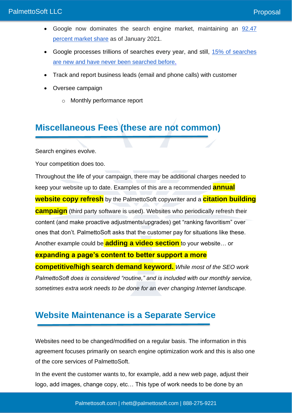- Google now dominates the search engine market, maintaining an [92.47](https://www.statista.com/statistics/216573/worldwide-market-share-of-search-engines/)  [percent market share](https://www.statista.com/statistics/216573/worldwide-market-share-of-search-engines/) as of January 2021.
- Google processes trillions of searches every year, and still, 15% of searches [are new and have never been searched before.](https://searchengineland.com/google-reaffirms-15-searches-new-never-searched-273786)
- Track and report business leads (email and phone calls) with customer
- Oversee campaign
	- o Monthly performance report

# **Miscellaneous Fees (these are not common)**

Search engines evolve.

Your competition does too.

Throughout the life of your campaign, there may be additional charges needed to keep your website up to date. Examples of this are a recommended **annual website copy refresh** by the PalmettoSoft copywriter and a **citation building campaign** (third party software is used). Websites who periodically refresh their content (and make proactive adjustments/upgrades) get "ranking favoritism" over ones that don't. PalmettoSoft asks that the customer pay for situations like these. Another example could be **adding a video section** to your website… or **expanding a page's content to better support a more** 

**competitive/high search demand keyword.** *While most of the SEO work PalmettoSoft does is considered "routine," and is included with our monthly service, sometimes extra work needs to be done for an ever changing Internet landscape.*

# **Website Maintenance is a Separate Service**

Websites need to be changed/modified on a regular basis. The information in this agreement focuses primarily on search engine optimization work and this is also one of the core services of PalmettoSoft.

In the event the customer wants to, for example, add a new web page, adjust their logo, add images, change copy, etc… This type of work needs to be done by an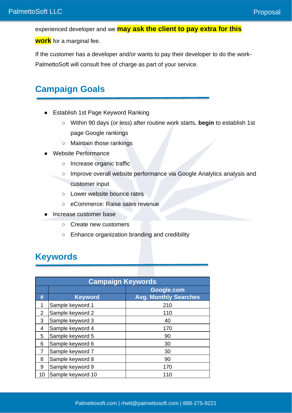experienced developer and we **may ask the client to pay extra for this** 

**work** for a marginal fee.

If the customer has a developer and/or wants to pay their developer to do the work-PalmettoSoft will consult free of charge as part of your service.

## **Campaign Goals**

- Establish 1st Page Keyword Ranking
	- Within 90 days (or less) after routine work starts, **begin** to establish 1st page Google rankings
	- Maintain those rankings
- Website Performance
	- Increase organic traffic
	- Improve overall website performance via Google Analytics analysis and customer input
	- Lower website bounce rates
	- eCommerce: Raise sales revenue
- Increase customer base
	- Create new customers
	- Enhance organization branding and credibility

### **Keywords**

| <b>Campaign Keywords</b> |                   |                              |  |  |
|--------------------------|-------------------|------------------------------|--|--|
|                          | Google.com        |                              |  |  |
| #                        | <b>Keyword</b>    | <b>Avg. Monthly Searches</b> |  |  |
| 1                        | Sample keyword 1  | 210                          |  |  |
| 2                        | Sample keyword 2  | 110                          |  |  |
| 3                        | Sample keyword 3  | 40                           |  |  |
| 4                        | Sample keyword 4  | 170                          |  |  |
| 5                        | Sample keyword 5  | 90                           |  |  |
| 6                        | Sample keyword 6  | 30                           |  |  |
| 7                        | Sample keyword 7  | 30                           |  |  |
| 8                        | Sample keyword 8  | 90                           |  |  |
| 9                        | Sample keyword 9  | 170                          |  |  |
| 10                       | Sample keyword 10 | 110                          |  |  |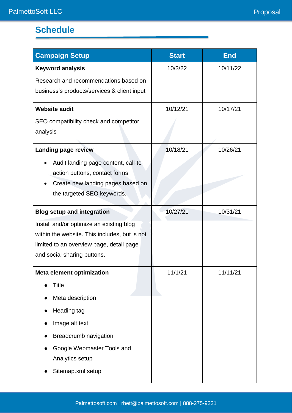# **Schedule**

| <b>Campaign Setup</b>                         | <b>Start</b> | <b>End</b> |
|-----------------------------------------------|--------------|------------|
| <b>Keyword analysis</b>                       | 10/3/22      | 10/11/22   |
| Research and recommendations based on         |              |            |
| business's products/services & client input   |              |            |
| <b>Website audit</b>                          | 10/12/21     | 10/17/21   |
| SEO compatibility check and competitor        |              |            |
| analysis                                      |              |            |
| <b>Landing page review</b>                    | 10/18/21     | 10/26/21   |
| Audit landing page content, call-to-          |              |            |
| action buttons, contact forms                 |              |            |
| Create new landing pages based on             |              |            |
| the targeted SEO keywords.                    |              |            |
| <b>Blog setup and integration</b>             | 10/27/21     | 10/31/21   |
| Install and/or optimize an existing blog      |              |            |
| within the website. This includes, but is not |              |            |
| limited to an overview page, detail page      |              |            |
| and social sharing buttons.                   |              |            |
| <b>Meta element optimization</b>              | 11/1/21      | 11/11/21   |
| Title                                         |              |            |
| Meta description                              |              |            |
| Heading tag                                   |              |            |
| Image alt text                                |              |            |
| <b>Breadcrumb navigation</b>                  |              |            |
| Google Webmaster Tools and                    |              |            |
| Analytics setup                               |              |            |
| Sitemap.xml setup                             |              |            |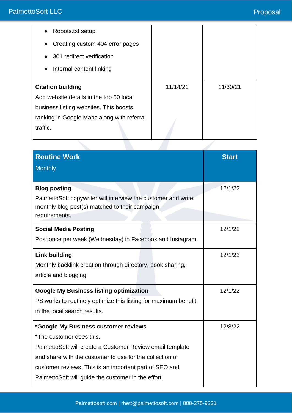| Robots.txt setup                                                                                                                                            |          |          |
|-------------------------------------------------------------------------------------------------------------------------------------------------------------|----------|----------|
| Creating custom 404 error pages<br>$\bullet$                                                                                                                |          |          |
| 301 redirect verification                                                                                                                                   |          |          |
| Internal content linking                                                                                                                                    |          |          |
|                                                                                                                                                             |          |          |
|                                                                                                                                                             | 11/14/21 | 11/30/21 |
|                                                                                                                                                             |          |          |
|                                                                                                                                                             |          |          |
| <b>Citation building</b><br>Add website details in the top 50 local<br>business listing websites. This boosts<br>ranking in Google Maps along with referral |          |          |

| <b>Routine Work</b><br><b>Monthly</b>                                                                                                                                                                                                                                                                      | <b>Start</b> |
|------------------------------------------------------------------------------------------------------------------------------------------------------------------------------------------------------------------------------------------------------------------------------------------------------------|--------------|
| <b>Blog posting</b><br>PalmettoSoft copywriter will interview the customer and write<br>monthly blog post(s) matched to their campaign<br>requirements.                                                                                                                                                    | 12/1/22      |
| <b>Social Media Posting</b><br>Post once per week (Wednesday) in Facebook and Instagram                                                                                                                                                                                                                    | 12/1/22      |
| <b>Link building</b><br>Monthly backlink creation through directory, book sharing,<br>article and blogging                                                                                                                                                                                                 | 12/1/22      |
| <b>Google My Business listing optimization</b><br>PS works to routinely optimize this listing for maximum benefit<br>in the local search results.                                                                                                                                                          | 12/1/22      |
| *Google My Business customer reviews<br>*The customer does this.<br>PalmettoSoft will create a Customer Review email template<br>and share with the customer to use for the collection of<br>customer reviews. This is an important part of SEO and<br>PalmettoSoft will guide the customer in the effort. | 12/8/22      |